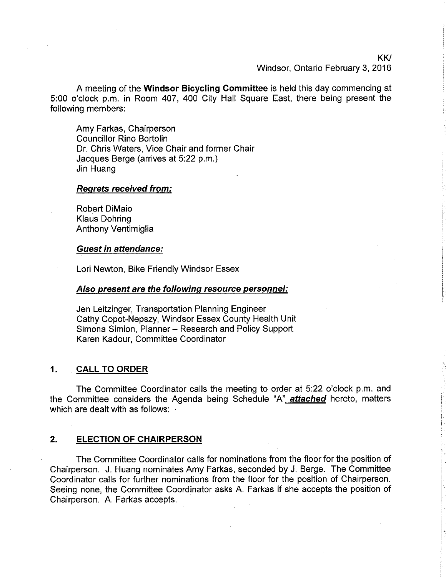KK/ Windsor, Ontario February 3, 2016

A meeting of the Windsor Bicycling Committee is held this day commencing at 5:00 o'clock p.m. in Room 407,40O City Hall Square East, there being present the following members:

Amy Farkas, Chairperson Councillor Rino Bortolin Dr. Chris Waters, Vice Chair and former Chair Jacques Berge (arrives at 5:22 p.m.) Jin Huang

## Reqrets received from:

Robert DiMaio Klaus Dohring Anthony Ventimiglia

## Guest in attendance:

Lori Newton, Bike Friendly Windsor Essex

## Also present are the following resource personnel:

Jen Leitzinger, Transportation Planning Engineer Cathy Copot-Nepszy, Windsor Essex County Health Unit Simona Simion, Planner - Research and Policy Support Karen Kadour, Committee Coordinator

## ,1. CALL TO ORDER

The Committee Coordinator calls the meeting to order at 5:22 o'clock p.m. and the Committee considers the Agenda being Schedule "A" attached hereto, matters which are dealt with as follows:

## 2. ELECTION OF CHAIRPERSON

The Committee Coordinator calls for nominations from the floor for the position of Chairperson. J. Huang nominates Amy Farkas, seconded by J. Berge. The Committee Coordinator calls for further nominations from the floor for the position of Chairperson. Seeing none, the Committee Coordinator asks A. Farkas if she accepts the position of Chairperson. A. Farkas accepts.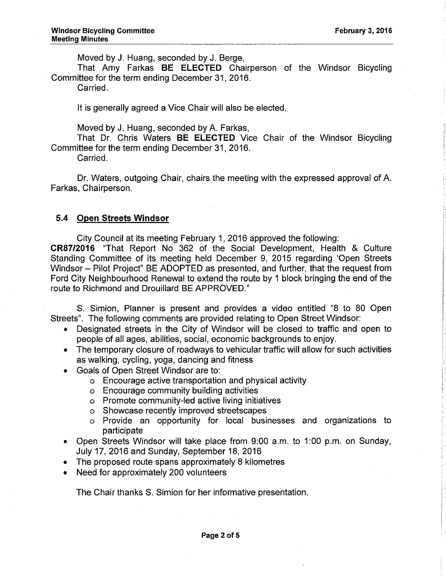Moved by J. Huang, seconded by J. Berge,

That Amy Farkas BE ELECTED Chairperson of the Windsor Bicycling Committee for the term ending December 31 , 2016.

Carried.

It is generally agreed a Vice Chair will also be elected.

Moved by J. Huang, seconded by A. Farkas,

That Dr. Chris Waters BE ELECTED Vice Chair of the Windsor Bicycling Committee for the term ending December 31, 2016.

Carried.

Dr. Waters, outgoing Chair, chairs the meeting with the expressed approval of A. Farkas, Chairperson.

# 5,4 Open Streets Windsor

City Council at its meeting February 1, 2016 approved the following: CR87/2016 "That Report No 362 of the Social Development, Health & Culture

Standing Committee of its meeting held December g, 2015 regarding 'Open Streets Windsor - Pilot Project" BE ADOPTED as presented, and further, that the request from Ford City Neighbourhood Renewal to extend the route by 1 block bringing the end of the route to Richmond and Drouillard BE APPROVED."

S. Simion, Planner is present and provides a video entitled "B to B0 Open Streets". The following comments are provided relating to Open Street Windsor:

- . Designated streets in the City of Windsor will be closed to traffic and open to people of all ages, abilities, social, economic backgrounds to enjoy.
- . The temporary closure of roadways to vehicular traffic will allow for such activities as walking, cycling, yoga, dancing and fitness
- . Goals of Open Street Windsor are to:
	- o Encourage active transportation and physical activity
	- o Encourage community building activities
	- o Promote community-led active living initiatives
	- o Showcase recently improved streetscapes
	- o Provide an opportunity for local businesses and organizations to participate
- .. Open Streets Windsor will take place from 9:00 a.m. to 1:00 p.m. on Sunday, July 17, 2016 and Sunday, September 18, 2016
- The proposed route spans approximately 8 kilometres
- . Need for approximately 200 volunteers

The Chair thanks S. Simion for her informative presentation.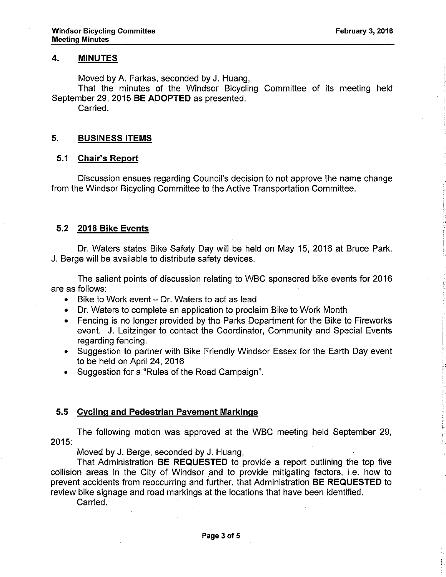## 4, MINUTES

Moved by A. Farkas, seconded by J. Huang,

That the minutes of the Windsor Bicycling Committee of its meeting held September 29, 2015 BE ADOPTED as presented.

Carried.

## 5, BUSINESS ITEMS

## 5.1 Chair's Report

Discussion ensues regarding Council's decision to not approve the name change from the Windsor Bicycling Committee to the Active Transportation Committee.

## 5.2 2016 Bike Events

Dr. Waters states Bike Safety Day will be held on May 15,2016 at Bruce Park. J. Berge will be available to distribute safety devices.

The salient points of discussion relating to WBC sponsored bike events for 2016 are as follows:

- . Bike to Work event Dr. Waters to act as lead
- . Dr. Waters to complete an application to proclaim Bike to Work Month
- . Fencing is no longer provided by the Parks Department for the Bike to Fireworks event. J. Leitzinger to contact the Coordinator, Community and Special Events regarding fencing.
- Suggestion to partner with Bike Friendly Windsor Essex for the Earth Day event to be held on April 24, 2016
- Suggestion for a "Rules of the Road Campaign".

## 5.5 Cvclinq and Pedestrian Pavement Markinqs

The following motion was approved at the WBC meeting held September 29, 2015:

Moved by J. Berge, seconded by J. Huang,

That Administration BE REQUESTED to provide a report outlining the top five collision areas in the City of Windsor and to provide mitigating factors, i.e. how to prevent accidents from reoccurring and further, that Administration BE REQUESTED to review bike signage and road markings at the locations that have been identified.

Carried.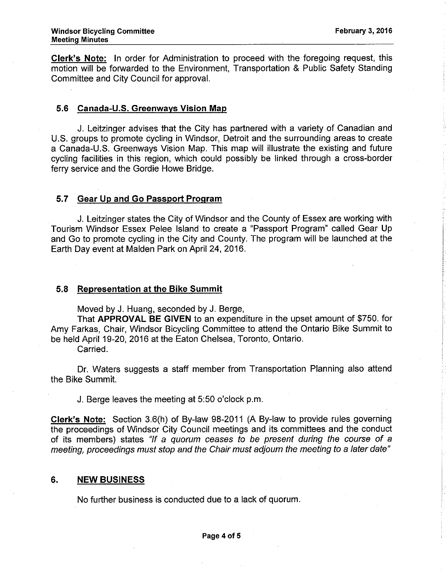Glerk's Note: ln order for Administration to proceed with the foregoing request, this motion will be forwarded to the Environment, Transportation & Public Safety Standing Committee and City Council for approval.

## 5.6 Canada-U.S. Greenwavs Vision Map

J. Leitzinger advises that the City has partnered with a variety of Canadian and U.S. groups to promote cycling in Windsor, Detroit and the surrounding areas to create a Canada-U.S. Greenways Vision Map. This map will illustrate the existing and future cycling facilities in this region, which could possibly be linked through a cross-border ferry service and the Gordie Howe Bridge.

## 5.7 Gear Up and Go Passport Program

J. Leitzinger states the City of Windsor and the County of Essex are working with Tourism Windsor Essex Pelee lsland to create a "Passport Program" called Gear Up and Go to promote cycling in the City and County. The program will be launched at the Earth Day event at Malden Park on April 24,2016.

## 5.8 Representation at the Bike Summit

Moved by J. Huang, seconded by J. Berge,

That APPROVAL BE GIVEN to an expenditure in the upset amount of \$750. for Amy Farkas, Chair, Windsor Bicycling Committee to attend the Ontario Bike Summit to be held April 19-20, 2016 at the Eaton Chelsea, Toronto, Ontario.

Carried.

Dr. Waters suggests a staff member from Transportation Planning also attend the Bike Summit.

J. Berge leaves the meeting at 5:50 o'clock p.m.

Clerk's Note: Section 3.6(h) of By-law 98-2011 (A By-law to provide rules governing the proceedings of Windsor City Council meetings and its committees and the conduct of its members) states "lf a quorum ceases fo be present during the course of a meeting, proceedings must stop and the Chair must adjourn the meeting to a later date"

## 6. NEW BUSINESS

No further business is conducted due to a lack of quorum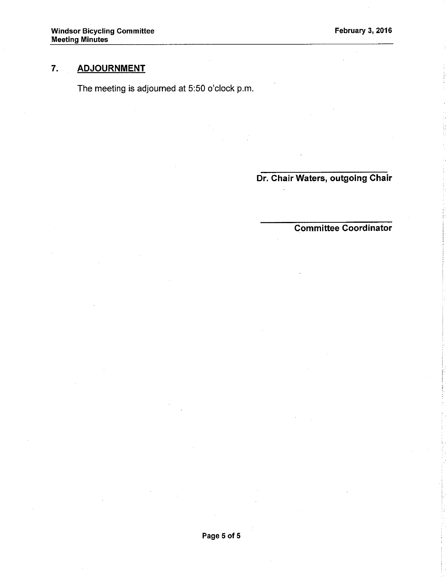# 7, ADJOURNMENT

The meeting is adjourned at 5:50 o'clock p.m.

Dr. Chair Waters, outgoing Chair

# Committee Coordinator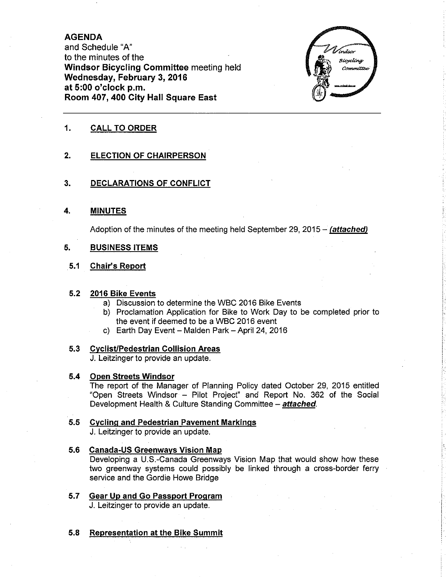## AGENDA

and Schedule "A" to the minutes of the Windsor Bicycling Committee meeting held Wednesday, February 3, 2016 at 5:00 o'clock p,m, Room 407,400 City Hall Square East



## 1. CALL TO ORDER

### $2.$ ELECTION OF CHAIRPERSON

#### 3. DECLARATIONS OF CONFLICT

MINUTES 4.

Adoption of the minutes of the meeting held September 29, 2015 - (attached)

### BUSINESS ITEMS 5.

### Ghair's Report 5.1

## 5.2 <u>2016 Bike Events</u>

- a) Discussion to determine the WBC 2016 Bike Events
- b) Proclamation Application for Bike to Work Day to be completed prior to the event if deemed to be a WBC 2016 event
- c) Earth Day Event Malden Park April 24, 2016

### CvclisUPedestrian Collision Areas 5.3

J. Leitzinger to provide an update.

#### $5.4$ Open Streets Windsor

The report of the Manager of Planning Policy dated October 29, 2015 entitled "Open Streets Windsor - Pilot Project" and Report No. 362 of the Social Development Health & Culture Standing Committee - attached.

## 5.5 <u>Cycling and Pedestrian Pavement Markings</u>

J. Leitzinger to provide an update.

## 5.6 **Canada-US Greenways Vision Map** Developing a U.S.-Canada Greenways Vision Map that would show how these two greenway systems could possibly be linked through a cross-border ferry service and the Gordie Howe Bridge

- Gear Up and Go Passport Program J. Leitzinger to provide an update. 5.7
- 5.8 Representation at the Bike Summit